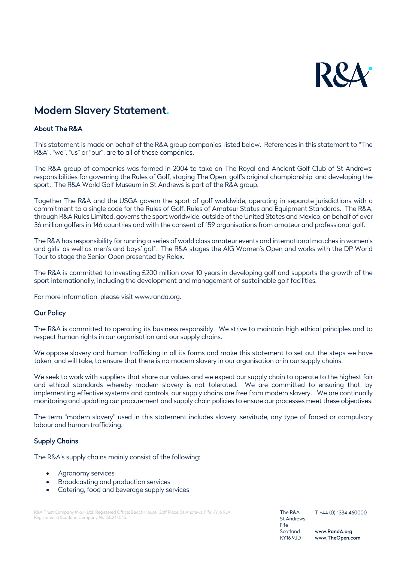

# Modern Slavery Statement.

# About The R&A

This statement is made on behalf of the R&A group companies, listed below. References in this statement to "The R&A", "we", "us" or "our", are to all of these companies.

The R&A group of companies was formed in 2004 to take on The Royal and Ancient Golf Club of St Andrews' responsibilities for governing the Rules of Golf, staging The Open, golf's original championship, and developing the sport. The R&A World Golf Museum in St Andrews is part of the R&A group.

Together The R&A and the USGA govern the sport of golf worldwide, operating in separate jurisdictions with a commitment to a single code for the Rules of Golf, Rules of Amateur Status and Equipment Standards. The R&A, through R&A Rules Limited, governs the sport worldwide, outside of the United States and Mexico, on behalf of over 36 million golfers in 146 countries and with the consent of 159 organisations from amateur and professional golf.

The R&A has responsibility for running a series of world class amateur events and international matches in women's and girls' as well as men's and boys' golf. The R&A stages the AIG Women's Open and works with the DP World Tour to stage the Senior Open presented by Rolex.

The R&A is committed to investing £200 million over 10 years in developing golf and supports the growth of the sport internationally, including the development and management of sustainable golf facilities.

For more information, please visit www.randa.org.

## Our Policy

The R&A is committed to operating its business responsibly. We strive to maintain high ethical principles and to respect human rights in our organisation and our supply chains.

We oppose slavery and human trafficking in all its forms and make this statement to set out the steps we have taken, and will take, to ensure that there is no modern slavery in our organisation or in our supply chains.

We seek to work with suppliers that share our values and we expect our supply chain to operate to the highest fair and ethical standards whereby modern slavery is not tolerated. We are committed to ensuring that, by implementing effective systems and controls, our supply chains are free from modern slavery. We are continually monitoring and updating our procurement and supply chain policies to ensure our processes meet these objectives.

The term "modern slavery" used in this statement includes slavery, servitude, any type of forced or compulsory labour and human trafficking.

## Supply Chains

The R&A's supply chains mainly consist of the following:

- Agronomy services
- Broadcasting and production services
- Catering, food and beverage supply services

R&A Trust Company (No.1) Ltd. Registered Office: Beach House, Golf Place, St Andrews, Fife KY16 9JA. Registered in Scotland Company No. SC247045.

The R&A St Andrews Fife Scotland KY16 9JD

T +44 (0) 1334 460000

www.RandA.org www.TheOpen.com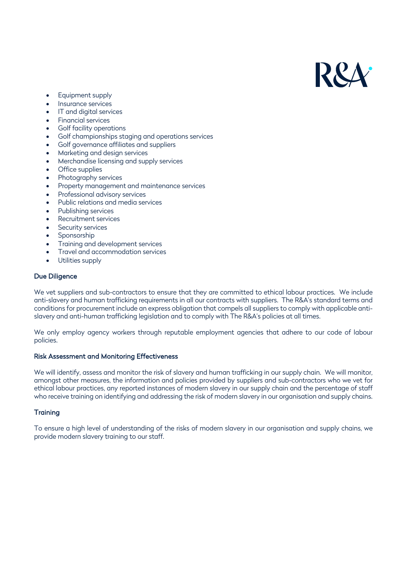

- Equipment supply
- Insurance services
- IT and digital services
- Financial services
- Golf facility operations
- Golf championships staging and operations services
- Golf governance affiliates and suppliers
- Marketing and design services
- Merchandise licensing and supply services
- Office supplies
- Photography services
- Property management and maintenance services
- Professional advisory services
- Public relations and media services
- Publishing services
- Recruitment services
- Security services
- **Sponsorship**
- Training and development services
- Travel and accommodation services
- Utilities supply

#### Due Diligence

We vet suppliers and sub-contractors to ensure that they are committed to ethical labour practices. We include anti-slavery and human trafficking requirements in all our contracts with suppliers. The R&A's standard terms and conditions for procurement include an express obligation that compels all suppliers to comply with applicable antislavery and anti-human trafficking legislation and to comply with The R&A's policies at all times.

We only employ agency workers through reputable employment agencies that adhere to our code of labour policies.

#### Risk Assessment and Monitoring Effectiveness

We will identify, assess and monitor the risk of slavery and human trafficking in our supply chain. We will monitor, amongst other measures, the information and policies provided by suppliers and sub-contractors who we vet for ethical labour practices, any reported instances of modern slavery in our supply chain and the percentage of staff who receive training on identifying and addressing the risk of modern slavery in our organisation and supply chains.

## **Training**

To ensure a high level of understanding of the risks of modern slavery in our organisation and supply chains, we provide modern slavery training to our staff.